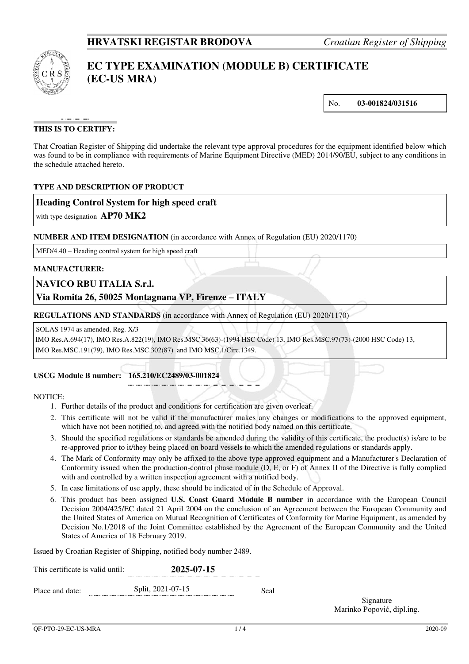

# **EC TYPE EXAMINATION (MODULE B) CERTIFICATE (EC-US MRA)**

No. **03-001824/031516** 

# **THIS IS TO CERTIFY:**

That Croatian Register of Shipping did undertake the relevant type approval procedures for the equipment identified below which was found to be in compliance with requirements of Marine Equipment Directive (MED) 2014/90/EU, subject to any conditions in the schedule attached hereto.

# **TYPE AND DESCRIPTION OF PRODUCT**

# **Heading Control System for high speed craft**

with type designation **AP70 MK2**

#### **NUMBER AND ITEM DESIGNATION** (in accordance with Annex of Regulation (EU) 2020/1170)

MED/4.40 – Heading control system for high speed craft

#### **MANUFACTURER:**

# **NAVICO RBU ITALIA S.r.l.**

# **Via Romita 26, 50025 Montagnana VP, Firenze – ITALY**

**REGULATIONS AND STANDARDS** (in accordance with Annex of Regulation (EU) 2020/1170)

SOLAS 1974 as amended, Reg. X/3

 IMO Res.A.694(17), IMO Res.A.822(19), IMO Res.MSC.36(63)-(1994 HSC Code) 13, IMO Res.MSC.97(73)-(2000 HSC Code) 13, IMO Res.MSC.191(79), IMO Res.MSC.302(87) and IMO MSC.1/Circ.1349.

# **USCG Module B number: 165.210/EC2489/03-001824**

#### NOTICE:

- 1. Further details of the product and conditions for certification are given overleaf.
- 2. This certificate will not be valid if the manufacturer makes any changes or modifications to the approved equipment, which have not been notified to, and agreed with the notified body named on this certificate.
- 3. Should the specified regulations or standards be amended during the validity of this certificate, the product(s) is/are to be re-approved prior to it/they being placed on board vessels to which the amended regulations or standards apply.
- 4. The Mark of Conformity may only be affixed to the above type approved equipment and a Manufacturer's Declaration of Conformity issued when the production-control phase module (D, E, or F) of Annex II of the Directive is fully complied with and controlled by a written inspection agreement with a notified body.
- 5. In case limitations of use apply, these should be indicated of in the Schedule of Approval.
- 6. This product has been assigned **U.S. Coast Guard Module B number** in accordance with the European Council Decision 2004/425/EC dated 21 April 2004 on the conclusion of an Agreement between the European Community and the United States of America on Mutual Recognition of Certificates of Conformity for Marine Equipment, as amended by Decision No.1/2018 of the Joint Committee established by the Agreement of the European Community and the United States of America of 18 February 2019.

Issued by Croatian Register of Shipping, notified body number 2489.

| This certificate is valid until: | 2025-07-15        |      |
|----------------------------------|-------------------|------|
| Place and date:                  | Split, 2021-07-15 | Seal |
|                                  |                   |      |

Signature Marinko Popović, dipl.ing.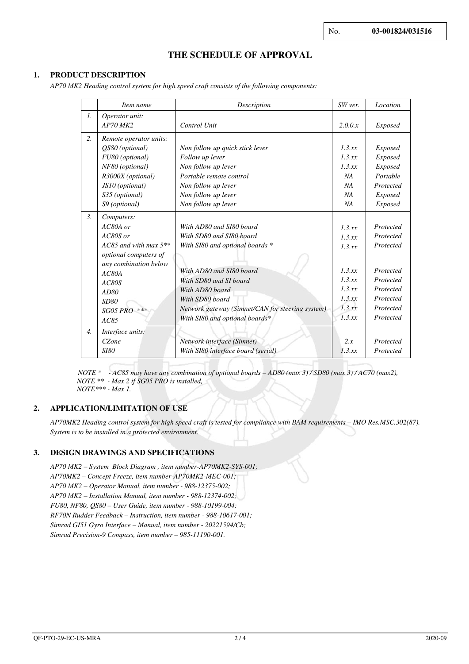# **THE SCHEDULE OF APPROVAL**

# **1. PRODUCT DESCRIPTION**

*AP70 MK2 Heading control system for high speed craft consists of the following components:* 

|                  | Item name                                                   | Description                                      | SW ver. | Location       |
|------------------|-------------------------------------------------------------|--------------------------------------------------|---------|----------------|
| $\mathcal{I}$ .  | Operator unit:                                              |                                                  |         |                |
|                  | $AP70$ MK2                                                  | Control Unit                                     | 2.0.0.x | <b>Exposed</b> |
| 2.               | Remote operator units:                                      |                                                  |         |                |
|                  | QS80 (optional)<br>Non follow up quick stick lever          |                                                  | 1.3 xx  | Exposed        |
|                  | FU80 (optional)                                             | Follow up lever                                  | 1.3 xx  | Exposed        |
|                  | NF80 (optional)                                             | Non follow up lever                              | 1.3.xx  | Exposed        |
|                  | R3000X (optional)                                           | Portable remote control                          | NA      | Portable       |
|                  | JS10 (optional)                                             | Non follow up lever                              | NA      | Protected      |
|                  | S35 (optional)                                              | Non follow up lever                              | NA      | <b>Exposed</b> |
|                  | S9 (optional)                                               | Non follow up lever                              | NA      | Exposed        |
| $\mathfrak{Z}$ . | Computers:                                                  |                                                  |         |                |
|                  | $AC80A$ or                                                  | With AD80 and SI80 board                         | 1.3 xx  | Protected      |
|                  | AC80S or                                                    | With SD80 and SI80 board                         | 1.3.xx  | Protected      |
|                  | AC85 and with max $5***$<br>With SI80 and optional boards * |                                                  | 1.3.xx  | Protected      |
|                  | <i>optional computers of</i>                                |                                                  |         |                |
|                  | any combination below<br>With AD80 and SI80 board           |                                                  | 1.3 xx  | Protected      |
| AC80A            |                                                             |                                                  | 1.3.xx  | Protected      |
|                  | AC80S                                                       | With SD80 and SI board                           | 1.3 xx  | Protected      |
|                  | AD80                                                        | With AD80 board                                  | 1.3.xx  | Protected      |
|                  | SD80                                                        | With SD80 board                                  | 1.3.xx  | Protected      |
|                  | $SG05 PRO$ ***                                              | Network gateway (Simnet/CAN for steering system) |         |                |
|                  | AC85                                                        | With SI80 and optional boards*                   | 1.3.xx  | Protected      |
| $\overline{4}$ . | Interface units:                                            |                                                  |         |                |
|                  | CZone                                                       | Network interface (Simnet)                       | 2.x     | Protected      |
|                  | <i>SI80</i>                                                 | With SI80 interface board (serial)               | 1.3.xx  | Protected      |

 *NOTE \* - AC85 may have any combination of optional boards – AD80 (max 3) / SD80 (max 3) / AC70 (max2), NOTE \*\* - Max 2 if SG05 PRO is installed,* 

 *NOTE\*\*\* - Max 1.* 

#### **2. APPLICATION/LIMITATION OF USE**

*AP70MK2 Heading control system for high speed craft is tested for compliance with BAM requirements – IMO Res.MSC.302(87). System is to be installed in a protected environment.*

# **3. DESIGN DRAWINGS AND SPECIFICATIONS**

*AP70 MK2 – System Block Diagram , item number-AP70MK2-SYS-001; AP70MK2 – Concept Freeze, item number-AP70MK2-MEC-001; AP70 MK2 – Operator Manual, item number - 988-12375-002; AP70 MK2 – Installation Manual, item number - 988-12374-002; FU80, NF80, QS80 – User Guide, item number - 988-10199-004; RF70N Rudder Feedback – Instruction, item number - 988-10617-001; Simrad GI51 Gyro Interface – Manual, item number - 20221594/Cb; Simrad Precision-9 Compass, item number – 985-11190-001.*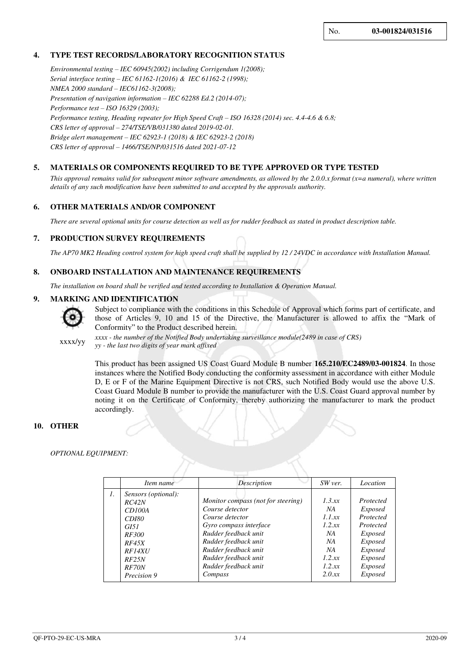# **4. TYPE TEST RECORDS/LABORATORY RECOGNITION STATUS**

*Environmental testing – IEC 60945(2002) including Corrigendum 1(2008); Serial interface testing – IEC 61162-1(2016) & IEC 61162-2 (1998); NMEA 2000 standard – IEC61162-3(2008); Presentation of navigation information – IEC 62288 Ed.2 (2014-07); Performance test – ISO 16329 (2003); Performance testing, Heading repeater for High Speed Craft – ISO 16328 (2014) sec. 4.4-4.6 & 6.8; CRS letter of approval – 274/TSE/VB/031380 dated 2019-02-01. Bridge alert management – IEC 62923-1 (2018) & IEC 62923-2 (2018) CRS letter of approval – 1466/TSE/NP/031516 dated 2021-07-12*

# **5. MATERIALS OR COMPONENTS REQUIRED TO BE TYPE APPROVED OR TYPE TESTED**

*This approval remains valid for subsequent minor software amendments, as allowed by the 2.0.0.x format (x=a numeral), where written details of any such modification have been submitted to and accepted by the approvals authority.*

#### **6. OTHER MATERIALS AND/OR COMPONENT**

*There are several optional units for course detection as well as for rudder feedback as stated in product description table.*

#### **7. PRODUCTION SURVEY REQUIREMENTS**

*The AP70 MK2 Heading control system for high speed craft shall be supplied by 12 / 24VDC in accordance with Installation Manual.* 

#### **8. ONBOARD INSTALLATION AND MAINTENANCE REQUIREMENTS**

*The installation on board shall be verified and tested according to Installation & Operation Manual.*

#### **9. MARKING AND IDENTIFICATION**



Subject to compliance with the conditions in this Schedule of Approval which forms part of certificate, and those of Articles 9, 10 and 15 of the Directive, the Manufacturer is allowed to affix the "Mark of Conformity" to the Product described herein.

xxxx/yy *xxxx - the number of the Notified Body undertaking surveillance module(2489 in case of CRS) yy - the last two digits of year mark affixed*

> This product has been assigned US Coast Guard Module B number **165.210/EC2489/03-001824**. In those instances where the Notified Body conducting the conformity assessment in accordance with either Module D, E or F of the Marine Equipment Directive is not CRS, such Notified Body would use the above U.S. Coast Guard Module B number to provide the manufacturer with the U.S. Coast Guard approval number by noting it on the Certificate of Conformity, thereby authorizing the manufacturer to mark the product accordingly.

#### **10. OTHER**

#### *OPTIONAL EQUIPMENT:*

|    | Item name                                                                                       | Description                                                                                                                                        | SW ver.                                      | Location                                                                                  |
|----|-------------------------------------------------------------------------------------------------|----------------------------------------------------------------------------------------------------------------------------------------------------|----------------------------------------------|-------------------------------------------------------------------------------------------|
| 1. | Sensors (optional):<br>RC42N<br>CD100A<br><i>CD180</i><br><i>G</i> I51<br><i>RF300</i><br>RF45X | Monitor compass (not for steering)<br>Course detector<br>Course detector<br>Gyro compass interface<br>Rudder feedback unit<br>Rudder feedback unit | 1.3 xx<br>NA<br>1.1 xx<br>1.2 xx<br>NA<br>NA | Protected<br><i>Exposed</i><br>Protected<br>Protected<br><i>Exposed</i><br><i>Exposed</i> |
|    | RF14XU<br>RF25N<br>RF70N<br>Precision 9                                                         | Rudder feedback unit<br>Rudder feedback unit<br>Rudder feedback unit<br>Compass                                                                    | NA<br>1.2 xx<br>1.2.xx<br>2.0xx              | <i>Exposed</i><br><i>Exposed</i><br><i>Exposed</i><br><i>Exposed</i>                      |